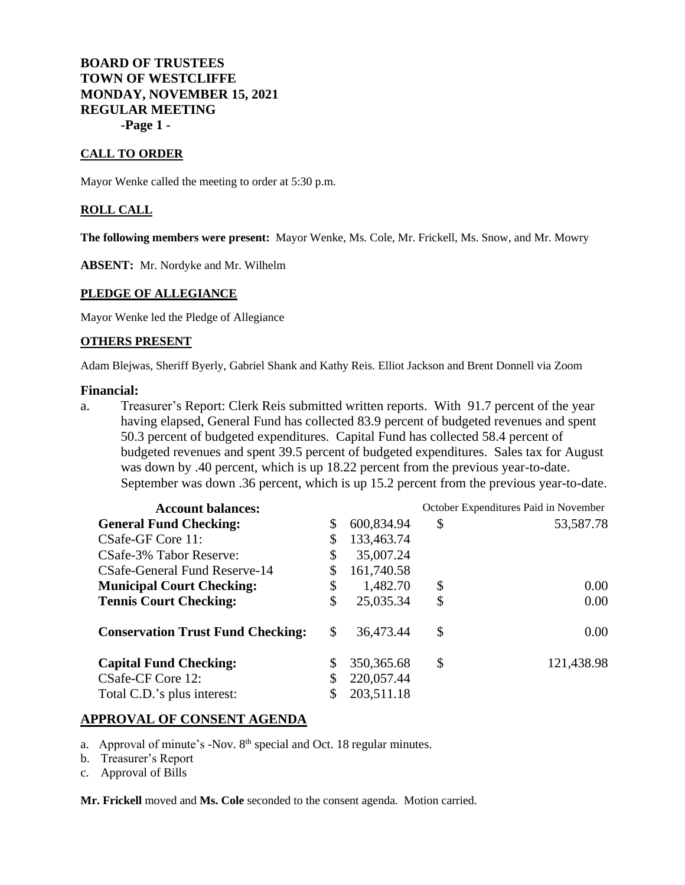# **BOARD OF TRUSTEES TOWN OF WESTCLIFFE MONDAY, NOVEMBER 15, 2021 REGULAR MEETING -Page 1 -**

#### **CALL TO ORDER**

Mayor Wenke called the meeting to order at 5:30 p.m.

#### **ROLL CALL**

**The following members were present:** Mayor Wenke, Ms. Cole, Mr. Frickell, Ms. Snow, and Mr. Mowry

**ABSENT:** Mr. Nordyke and Mr. Wilhelm

#### **PLEDGE OF ALLEGIANCE**

Mayor Wenke led the Pledge of Allegiance

#### **OTHERS PRESENT**

Adam Blejwas, Sheriff Byerly, Gabriel Shank and Kathy Reis. Elliot Jackson and Brent Donnell via Zoom

# **Financial:**

a. Treasurer's Report: Clerk Reis submitted written reports. With 91.7 percent of the year having elapsed, General Fund has collected 83.9 percent of budgeted revenues and spent 50.3 percent of budgeted expenditures. Capital Fund has collected 58.4 percent of budgeted revenues and spent 39.5 percent of budgeted expenditures. Sales tax for August was down by .40 percent, which is up 18.22 percent from the previous year-to-date. September was down .36 percent, which is up 15.2 percent from the previous year-to-date.

| <b>Account balances:</b>                 |    | October Expenditures Paid in November |    |            |
|------------------------------------------|----|---------------------------------------|----|------------|
| <b>General Fund Checking:</b>            | \$ | 600,834.94                            | \$ | 53,587.78  |
| CSafe-GF Core 11:                        | \$ | 133,463.74                            |    |            |
| CSafe-3% Tabor Reserve:                  | \$ | 35,007.24                             |    |            |
| CSafe-General Fund Reserve-14            | \$ | 161,740.58                            |    |            |
| <b>Municipal Court Checking:</b>         | \$ | 1,482.70                              | \$ | 0.00       |
| <b>Tennis Court Checking:</b>            | \$ | 25,035.34                             | \$ | 0.00       |
| <b>Conservation Trust Fund Checking:</b> | \$ | 36,473.44                             | \$ | 0.00       |
| <b>Capital Fund Checking:</b>            | S  | 350, 365.68                           | \$ | 121,438.98 |
| CSafe-CF Core 12:                        |    | 220,057.44                            |    |            |
| Total C.D.'s plus interest:              |    | 203,511.18                            |    |            |

#### **APPROVAL OF CONSENT AGENDA**

a. Approval of minute's -Nov. 8th special and Oct. 18 regular minutes.

b. Treasurer's Report

c. Approval of Bills

**Mr. Frickell** moved and **Ms. Cole** seconded to the consent agenda. Motion carried.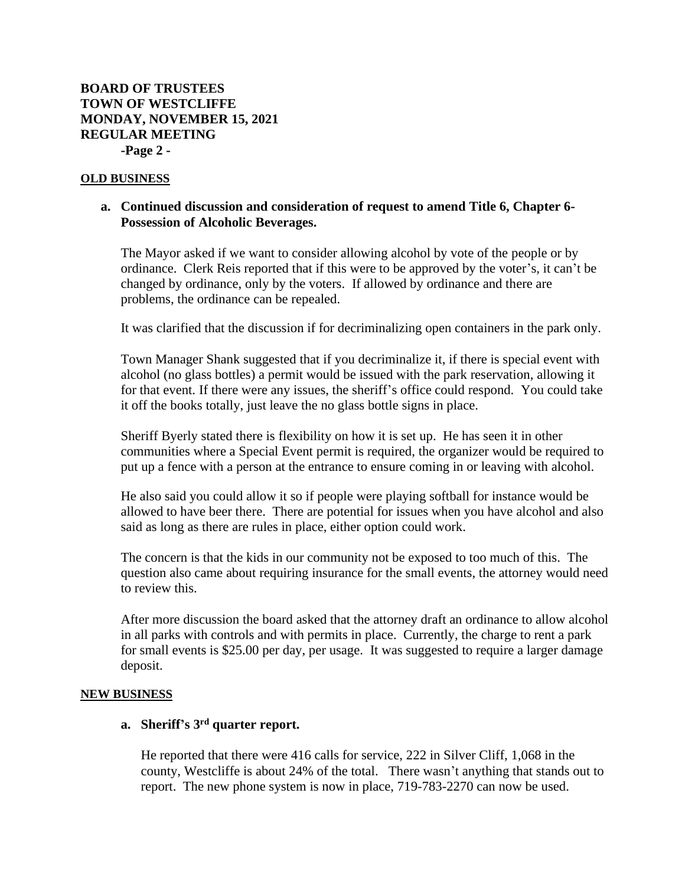# **BOARD OF TRUSTEES TOWN OF WESTCLIFFE MONDAY, NOVEMBER 15, 2021 REGULAR MEETING -Page 2 -**

### **OLD BUSINESS**

# **a. Continued discussion and consideration of request to amend Title 6, Chapter 6- Possession of Alcoholic Beverages.**

The Mayor asked if we want to consider allowing alcohol by vote of the people or by ordinance. Clerk Reis reported that if this were to be approved by the voter's, it can't be changed by ordinance, only by the voters. If allowed by ordinance and there are problems, the ordinance can be repealed.

It was clarified that the discussion if for decriminalizing open containers in the park only.

Town Manager Shank suggested that if you decriminalize it, if there is special event with alcohol (no glass bottles) a permit would be issued with the park reservation, allowing it for that event. If there were any issues, the sheriff's office could respond. You could take it off the books totally, just leave the no glass bottle signs in place.

Sheriff Byerly stated there is flexibility on how it is set up. He has seen it in other communities where a Special Event permit is required, the organizer would be required to put up a fence with a person at the entrance to ensure coming in or leaving with alcohol.

He also said you could allow it so if people were playing softball for instance would be allowed to have beer there. There are potential for issues when you have alcohol and also said as long as there are rules in place, either option could work.

The concern is that the kids in our community not be exposed to too much of this. The question also came about requiring insurance for the small events, the attorney would need to review this.

After more discussion the board asked that the attorney draft an ordinance to allow alcohol in all parks with controls and with permits in place. Currently, the charge to rent a park for small events is \$25.00 per day, per usage. It was suggested to require a larger damage deposit.

#### **NEW BUSINESS**

# **a. Sheriff's 3rd quarter report.**

He reported that there were 416 calls for service, 222 in Silver Cliff, 1,068 in the county, Westcliffe is about 24% of the total. There wasn't anything that stands out to report. The new phone system is now in place, 719-783-2270 can now be used.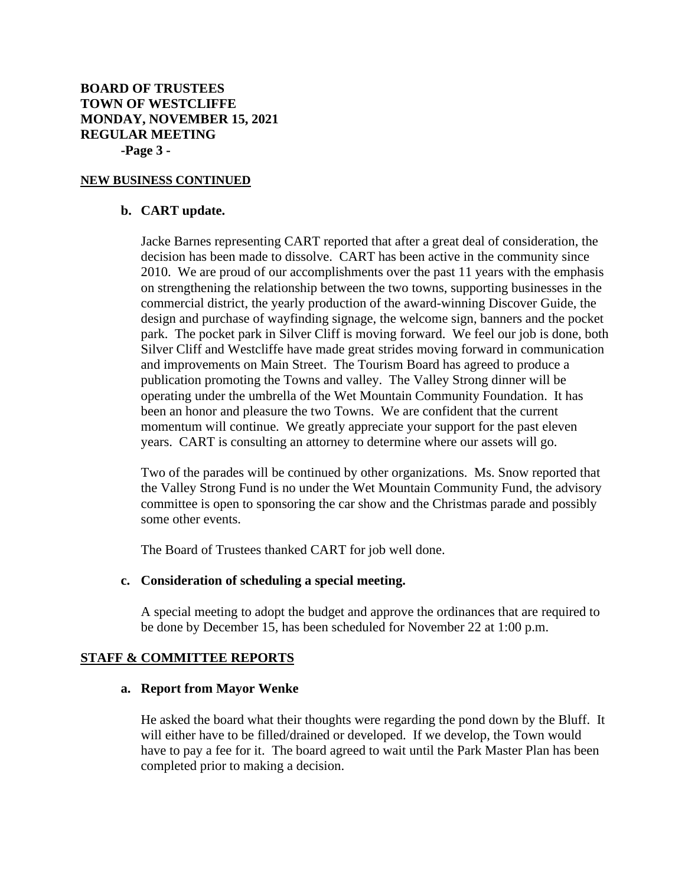# **BOARD OF TRUSTEES TOWN OF WESTCLIFFE MONDAY, NOVEMBER 15, 2021 REGULAR MEETING -Page 3 -**

### **NEW BUSINESS CONTINUED**

### **b. CART update.**

Jacke Barnes representing CART reported that after a great deal of consideration, the decision has been made to dissolve. CART has been active in the community since 2010. We are proud of our accomplishments over the past 11 years with the emphasis on strengthening the relationship between the two towns, supporting businesses in the commercial district, the yearly production of the award-winning Discover Guide, the design and purchase of wayfinding signage, the welcome sign, banners and the pocket park. The pocket park in Silver Cliff is moving forward. We feel our job is done, both Silver Cliff and Westcliffe have made great strides moving forward in communication and improvements on Main Street. The Tourism Board has agreed to produce a publication promoting the Towns and valley. The Valley Strong dinner will be operating under the umbrella of the Wet Mountain Community Foundation. It has been an honor and pleasure the two Towns. We are confident that the current momentum will continue. We greatly appreciate your support for the past eleven years. CART is consulting an attorney to determine where our assets will go.

Two of the parades will be continued by other organizations. Ms. Snow reported that the Valley Strong Fund is no under the Wet Mountain Community Fund, the advisory committee is open to sponsoring the car show and the Christmas parade and possibly some other events.

The Board of Trustees thanked CART for job well done.

#### **c. Consideration of scheduling a special meeting.**

A special meeting to adopt the budget and approve the ordinances that are required to be done by December 15, has been scheduled for November 22 at 1:00 p.m.

# **STAFF & COMMITTEE REPORTS**

#### **a. Report from Mayor Wenke**

He asked the board what their thoughts were regarding the pond down by the Bluff. It will either have to be filled/drained or developed. If we develop, the Town would have to pay a fee for it. The board agreed to wait until the Park Master Plan has been completed prior to making a decision.